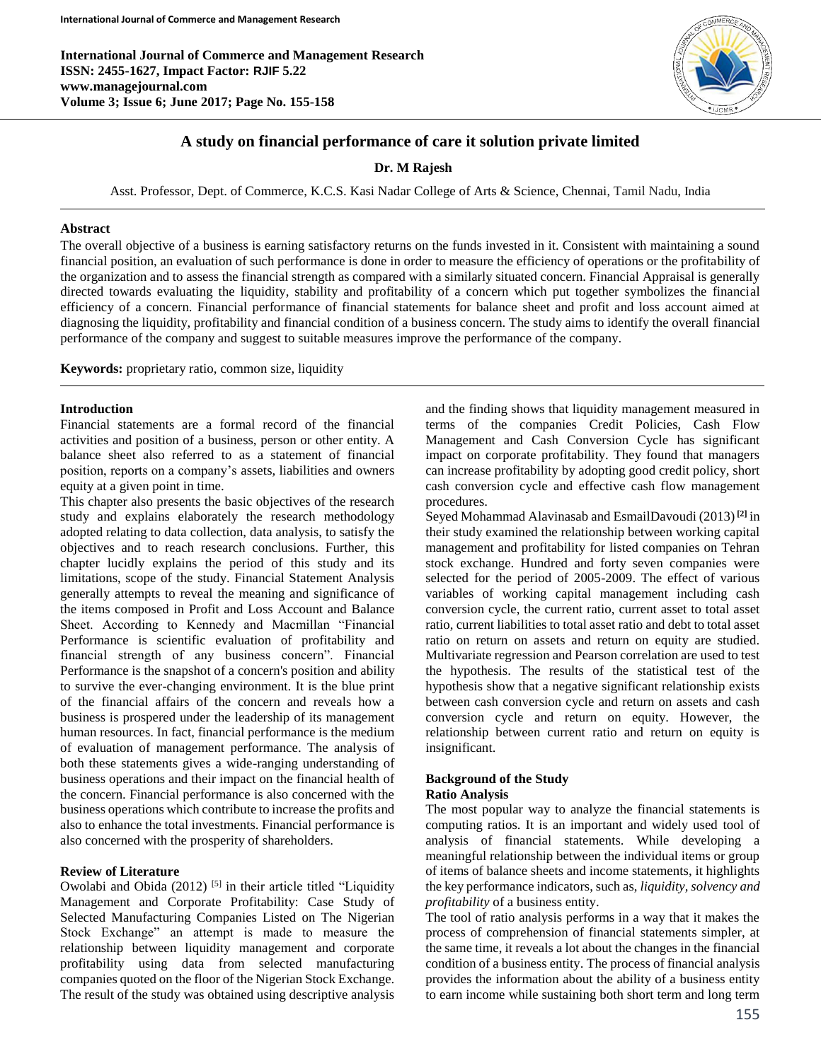**International Journal of Commerce and Management Research ISSN: 2455-1627, Impact Factor: RJIF 5.22 www.managejournal.com Volume 3; Issue 6; June 2017; Page No. 155-158**



# **A study on financial performance of care it solution private limited**

**Dr. M Rajesh**

Asst. Professor, Dept. of Commerce, K.C.S. Kasi Nadar College of Arts & Science, Chennai, Tamil Nadu, India

### **Abstract**

The overall objective of a business is earning satisfactory returns on the funds invested in it. Consistent with maintaining a sound financial position, an evaluation of such performance is done in order to measure the efficiency of operations or the profitability of the organization and to assess the financial strength as compared with a similarly situated concern. Financial Appraisal is generally directed towards evaluating the liquidity, stability and profitability of a concern which put together symbolizes the financial efficiency of a concern. Financial performance of financial statements for balance sheet and profit and loss account aimed at diagnosing the liquidity, profitability and financial condition of a business concern. The study aims to identify the overall financial performance of the company and suggest to suitable measures improve the performance of the company.

**Keywords:** proprietary ratio, common size, liquidity

# **Introduction**

Financial statements are a formal record of the financial activities and position of a business, person or other entity. A balance sheet also referred to as a statement of financial position, reports on a company's assets, liabilities and owners equity at a given point in time.

This chapter also presents the basic objectives of the research study and explains elaborately the research methodology adopted relating to data collection, data analysis, to satisfy the objectives and to reach research conclusions. Further, this chapter lucidly explains the period of this study and its limitations, scope of the study. Financial Statement Analysis generally attempts to reveal the meaning and significance of the items composed in Profit and Loss Account and Balance Sheet. According to Kennedy and Macmillan "Financial Performance is scientific evaluation of profitability and financial strength of any business concern". Financial Performance is the snapshot of a concern's position and ability to survive the ever-changing environment. It is the blue print of the financial affairs of the concern and reveals how a business is prospered under the leadership of its management human resources. In fact, financial performance is the medium of evaluation of management performance. The analysis of both these statements gives a wide-ranging understanding of business operations and their impact on the financial health of the concern. Financial performance is also concerned with the business operations which contribute to increase the profits and also to enhance the total investments. Financial performance is also concerned with the prosperity of shareholders.

# **Review of Literature**

Owolabi and Obida  $(2012)$ <sup>[5]</sup> in their article titled "Liquidity" Management and Corporate Profitability: Case Study of Selected Manufacturing Companies Listed on The Nigerian Stock Exchange" an attempt is made to measure the relationship between liquidity management and corporate profitability using data from selected manufacturing companies quoted on the floor of the Nigerian Stock Exchange. The result of the study was obtained using descriptive analysis and the finding shows that liquidity management measured in terms of the companies Credit Policies, Cash Flow Management and Cash Conversion Cycle has significant impact on corporate profitability. They found that managers can increase profitability by adopting good credit policy, short cash conversion cycle and effective cash flow management procedures.

Seyed Mohammad Alavinasab and EsmailDavoudi (2013)**[2]** in their study examined the relationship between working capital management and profitability for listed companies on Tehran stock exchange. Hundred and forty seven companies were selected for the period of 2005-2009. The effect of various variables of working capital management including cash conversion cycle, the current ratio, current asset to total asset ratio, current liabilities to total asset ratio and debt to total asset ratio on return on assets and return on equity are studied. Multivariate regression and Pearson correlation are used to test the hypothesis. The results of the statistical test of the hypothesis show that a negative significant relationship exists between cash conversion cycle and return on assets and cash conversion cycle and return on equity. However, the relationship between current ratio and return on equity is insignificant.

#### **Background of the Study Ratio Analysis**

The most popular way to analyze the financial statements is computing ratios. It is an important and widely used tool of analysis of financial statements. While developing a meaningful relationship between the individual items or group of items of balance sheets and income statements, it highlights the key performance indicators, such as, *liquidity, solvency and profitability* of a business entity.

The tool of ratio analysis performs in a way that it makes the process of comprehension of financial statements simpler, at the same time, it reveals a lot about the changes in the financial condition of a business entity. The process of financial analysis provides the information about the ability of a business entity to earn income while sustaining both short term and long term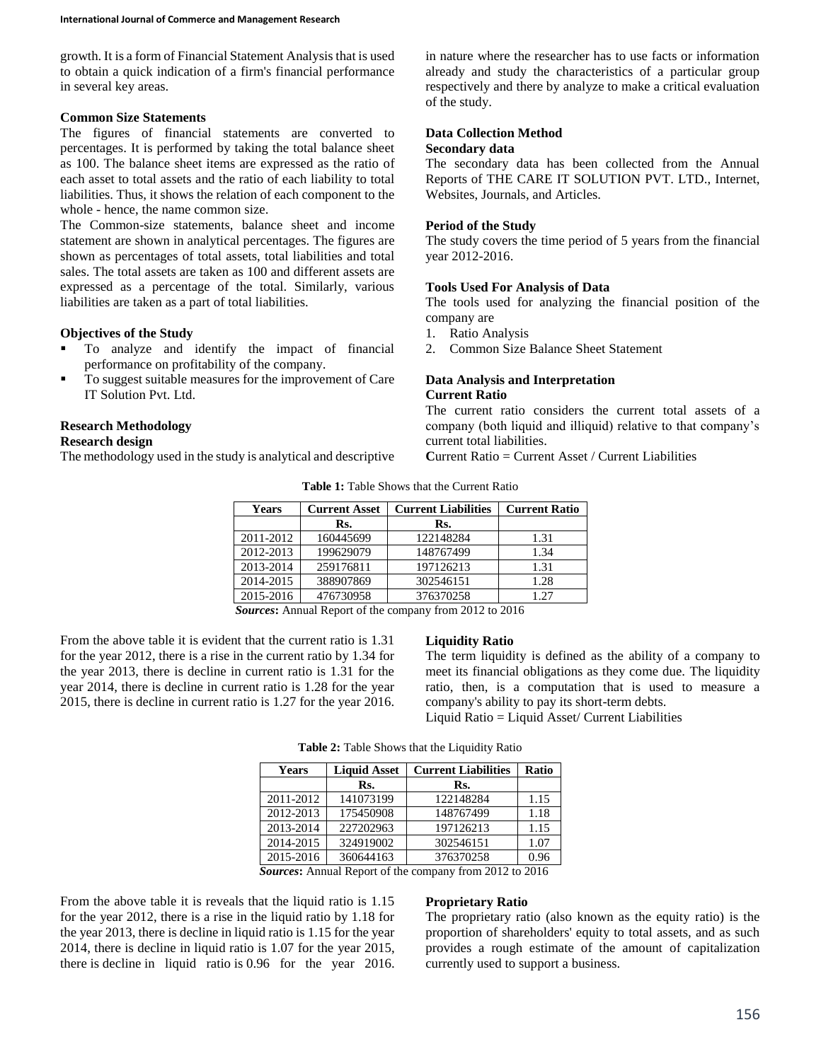growth. It is a form of Financial Statement Analysisthat is used to obtain a quick indication of a firm's financial performance in several key areas.

# **Common Size Statements**

The figures of financial statements are converted to percentages. It is performed by taking the total balance sheet as 100. The balance sheet items are expressed as the ratio of each asset to total assets and the ratio of each liability to total liabilities. Thus, it shows the relation of each component to the whole - hence, the name common size.

The Common-size statements, balance sheet and income statement are shown in analytical percentages. The figures are shown as percentages of total assets, total liabilities and total sales. The total assets are taken as 100 and different assets are expressed as a percentage of the total. Similarly, various liabilities are taken as a part of total liabilities.

#### **Objectives of the Study**

- To analyze and identify the impact of financial performance on profitability of the company.
- To suggest suitable measures for the improvement of Care IT Solution Pvt. Ltd.

#### **Research Methodology**

### **Research design**

The methodology used in the study is analytical and descriptive

in nature where the researcher has to use facts or information already and study the characteristics of a particular group respectively and there by analyze to make a critical evaluation of the study.

# **Data Collection Method**

#### **Secondary data**

The secondary data has been collected from the Annual Reports of THE CARE IT SOLUTION PVT. LTD., Internet, Websites, Journals, and Articles.

#### **Period of the Study**

The study covers the time period of 5 years from the financial year 2012-2016.

# **Tools Used For Analysis of Data**

The tools used for analyzing the financial position of the company are

- 1. Ratio Analysis
- 2. Common Size Balance Sheet Statement

#### **Data Analysis and Interpretation Current Ratio**

The current ratio considers the current total assets of a company (both liquid and illiquid) relative to that company's current total liabilities.

**C**urrent Ratio = Current Asset / Current Liabilities

| <b>Years</b> | <b>Current Asset</b> | <b>Current Liabilities</b> | <b>Current Ratio</b> |
|--------------|----------------------|----------------------------|----------------------|
|              | Rs.                  | Rs.                        |                      |
| 2011-2012    | 160445699            | 122148284                  | 1.31                 |
| 2012-2013    | 199629079            | 148767499                  | 1.34                 |
| 2013-2014    | 259176811            | 197126213                  | 1.31                 |
| 2014-2015    | 388907869            | 302546151                  | 1.28                 |
| 2015-2016    | 476730958            | 376370258                  | 1.27                 |

**Table 1:** Table Shows that the Current Ratio

*Sources***:** Annual Report of the company from 2012 to 2016

From the above table it is evident that the current ratio is 1.31 for the year 2012, there is a rise in the current ratio by 1.34 for the year 2013, there is decline in current ratio is 1.31 for the year 2014, there is decline in current ratio is 1.28 for the year 2015, there is decline in current ratio is 1.27 for the year 2016.

# **Liquidity Ratio**

The term liquidity is defined as the ability of a company to meet its financial obligations as they come due. The liquidity ratio, then, is a computation that is used to measure a company's ability to pay its short-term debts. Liquid Ratio = Liquid Asset/ Current Liabilities

**Table 2:** Table Shows that the Liquidity Ratio

| <b>Years</b>            | <b>Liquid Asset</b>                                 | <b>Current Liabilities</b>     | <b>Ratio</b>         |
|-------------------------|-----------------------------------------------------|--------------------------------|----------------------|
|                         | Rs.                                                 | Rs.                            |                      |
| 2011-2012               | 141073199                                           | 122148284                      | 1.15                 |
| 2012-2013               | 175450908                                           | 148767499                      | 1.18                 |
| 2013-2014               | 227202963                                           | 197126213                      | 1.15                 |
| 2014-2015               | 324919002                                           | 302546151                      | 1.07                 |
| 2015-2016               | 360644163                                           | 376370258                      | 0.96                 |
| $\sim$<br>$\rightarrow$ | $\mathbf{r}$ $\mathbf{r}$ $\mathbf{r}$ $\mathbf{r}$ | $\sim$<br>$\sim$ $\sim$ $\sim$ | $\sim$ $\sim$ $\sim$ |

*Sources***:** Annual Report of the company from 2012 to 2016

From the above table it is reveals that the liquid ratio is 1.15 for the year 2012, there is a rise in the liquid ratio by 1.18 for the year 2013, there is decline in liquid ratio is 1.15 for the year 2014, there is decline in liquid ratio is 1.07 for the year 2015, there is decline in liquid ratio is 0.96 for the year 2016.

#### **Proprietary Ratio**

The proprietary ratio (also known as the equity ratio) is the proportion of shareholders' equity to total assets, and as such provides a rough estimate of the amount of capitalization currently used to support a business.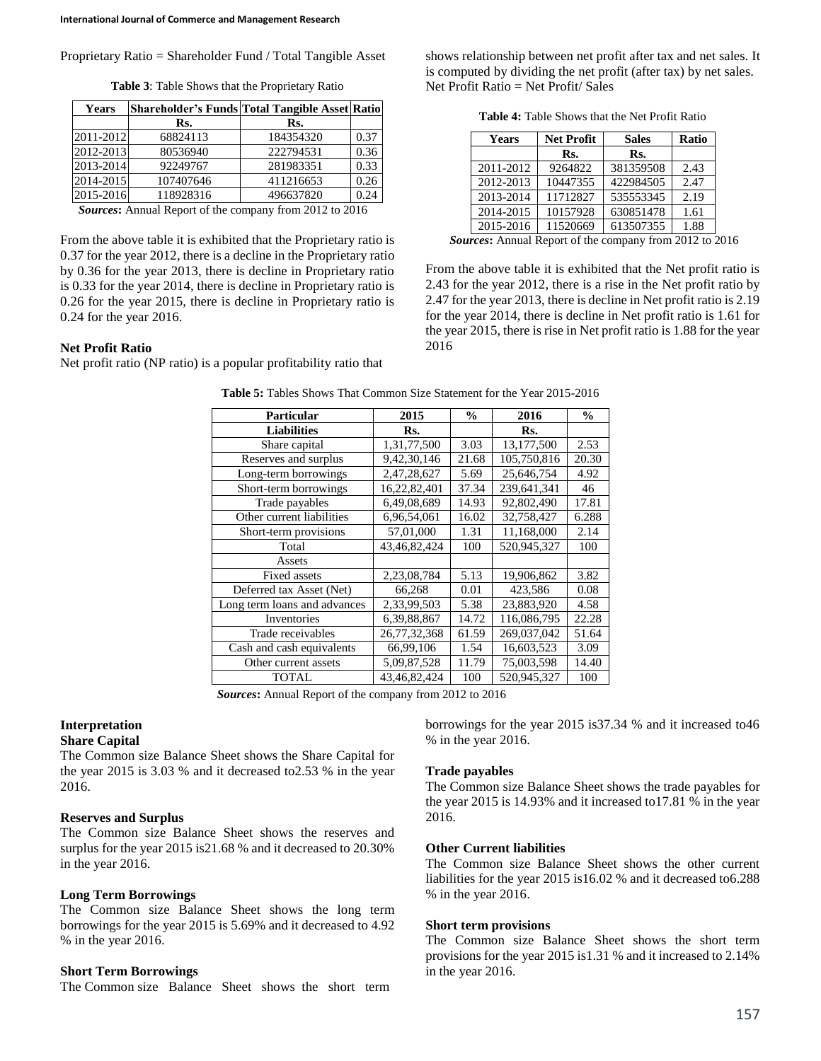| <b>Years</b> | Shareholder's Funds Total Tangible Asset Ratio |           |      |
|--------------|------------------------------------------------|-----------|------|
|              | Rs.                                            | Rs.       |      |
| 2011-2012    | 68824113                                       | 184354320 | 0.37 |
| 2012-2013    | 80536940                                       | 222794531 | 0.36 |
| 2013-2014    | 92249767                                       | 281983351 | 0.33 |
| 2014-2015    | 107407646                                      | 411216653 | 0.26 |
| 2015-2016    | 118928316                                      | 496637820 | 0.24 |

*Sources***:** Annual Report of the company from 2012 to 2016

From the above table it is exhibited that the Proprietary ratio is 0.37 for the year 2012, there is a decline in the Proprietary ratio by 0.36 for the year 2013, there is decline in Proprietary ratio is 0.33 for the year 2014, there is decline in Proprietary ratio is 0.26 for the year 2015, there is decline in Proprietary ratio is 0.24 for the year 2016.

# **Net Profit Ratio**

Net profit ratio (NP ratio) is a popular profitability ratio that

| $\mu$ , $\sigma$ , and $\sigma$ is that common size statement for the Tear 2019 2010 |              |               |             |               |
|--------------------------------------------------------------------------------------|--------------|---------------|-------------|---------------|
| Particular                                                                           | 2015         | $\frac{6}{6}$ | 2016        | $\frac{6}{9}$ |
| <b>Liabilities</b>                                                                   | Rs.          |               | Rs.         |               |
| Share capital                                                                        | 1,31,77,500  | 3.03          | 13,177,500  | 2.53          |
| Reserves and surplus                                                                 | 9,42,30,146  | 21.68         | 105,750,816 | 20.30         |
| Long-term borrowings                                                                 | 2,47,28,627  | 5.69          | 25,646,754  | 4.92          |
| Short-term borrowings                                                                | 16,22,82,401 | 37.34         | 239.641.341 | 46            |
| Trade payables                                                                       | 6,49,08,689  | 14.93         | 92,802,490  | 17.81         |
| Other current liabilities                                                            | 6,96,54,061  | 16.02         | 32,758,427  | 6.288         |
| Short-term provisions                                                                | 57,01,000    | 1.31          | 11.168.000  | 2.14          |
| Total                                                                                | 43,46,82,424 | 100           | 520,945,327 | 100           |
| Assets                                                                               |              |               |             |               |
| <b>Fixed assets</b>                                                                  | 2,23,08,784  | 5.13          | 19,906,862  | 3.82          |
| Deferred tax Asset (Net)                                                             | 66,268       | 0.01          | 423,586     | 0.08          |
| Long term loans and advances                                                         | 2,33,99,503  | 5.38          | 23.883.920  | 4.58          |
| Inventories                                                                          | 6,39,88,867  | 14.72         | 116,086,795 | 22.28         |
| Trade receivables                                                                    | 26,77,32,368 | 61.59         | 269,037,042 | 51.64         |
| Cash and cash equivalents                                                            | 66.99.106    | 1.54          | 16,603,523  | 3.09          |
| Other current assets                                                                 | 5,09,87,528  | 11.79         | 75,003,598  | 14.40         |
| <b>TOTAL</b>                                                                         | 43,46,82,424 | 100           | 520,945,327 | 100           |

**Table 5:** Tables Shows That Common Size Statement for the Year 2015-2016

*Sources***:** Annual Report of the company from 2012 to 2016

# **Interpretation**

# **Share Capital**

The Common size Balance Sheet shows the Share Capital for the year 2015 is 3.03 % and it decreased to2.53 % in the year 2016.

#### **Reserves and Surplus**

The Common size Balance Sheet shows the reserves and surplus for the year 2015 is21.68 % and it decreased to 20.30% in the year 2016.

#### **Long Term Borrowings**

The Common size Balance Sheet shows the long term borrowings for the year 2015 is 5.69% and it decreased to 4.92 % in the year 2016.

# **Short Term Borrowings**

The Common size Balance Sheet shows the short term

borrowings for the year 2015 is37.34 % and it increased to46 % in the year 2016.

#### **Trade payables**

The Common size Balance Sheet shows the trade payables for the year 2015 is 14.93% and it increased to17.81 % in the year 2016.

#### **Other Current liabilities**

The Common size Balance Sheet shows the other current liabilities for the year 2015 is16.02 % and it decreased to6.288 % in the year 2016.

#### **Short term provisions**

The Common size Balance Sheet shows the short term provisions for the year 2015 is1.31 % and it increased to 2.14% in the year 2016.

**Table 4:** Table Shows that the Net Profit Ratio

shows relationship between net profit after tax and net sales. It is computed by dividing the net profit (after tax) by net sales.

Net Profit Ratio = Net Profit/ Sales

| Years     | <b>Net Profit</b> | <b>Sales</b> | Ratio |
|-----------|-------------------|--------------|-------|
|           | Rs.               | Rs.          |       |
| 2011-2012 | 9264822           | 381359508    | 2.43  |
| 2012-2013 | 10447355          | 422984505    | 2.47  |
| 2013-2014 | 11712827          | 535553345    | 2.19  |
| 2014-2015 | 10157928          | 630851478    | 1.61  |
| 2015-2016 | 11520669          | 613507355    | 1.88  |

*Sources***:** Annual Report of the company from 2012 to 2016

From the above table it is exhibited that the Net profit ratio is 2.43 for the year 2012, there is a rise in the Net profit ratio by 2.47 for the year 2013, there is decline in Net profit ratio is 2.19 for the year 2014, there is decline in Net profit ratio is 1.61 for the year 2015, there is rise in Net profit ratio is 1.88 for the year 2016